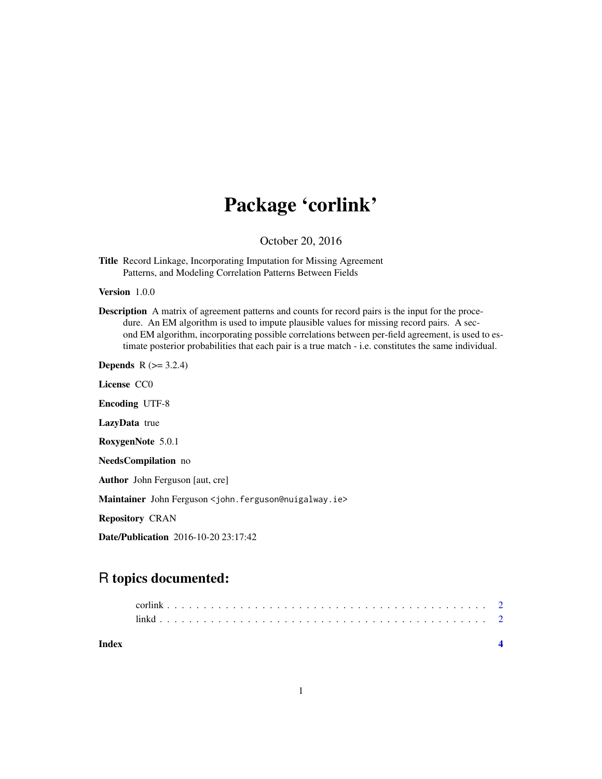## Package 'corlink'

October 20, 2016

Title Record Linkage, Incorporating Imputation for Missing Agreement Patterns, and Modeling Correlation Patterns Between Fields

Version 1.0.0

Description A matrix of agreement patterns and counts for record pairs is the input for the procedure. An EM algorithm is used to impute plausible values for missing record pairs. A second EM algorithm, incorporating possible correlations between per-field agreement, is used to estimate posterior probabilities that each pair is a true match - i.e. constitutes the same individual.

**Depends**  $R$  ( $>= 3.2.4$ ) License CC0

Encoding UTF-8

LazyData true

RoxygenNote 5.0.1

NeedsCompilation no

Author John Ferguson [aut, cre]

Maintainer John Ferguson <john.ferguson@nuigalway.ie>

Repository CRAN

Date/Publication 2016-10-20 23:17:42

### R topics documented:

| Index |  |  |  |  |  |  |  |  |  |  |  |  |  |  |  |  |  |  |  |  |  |
|-------|--|--|--|--|--|--|--|--|--|--|--|--|--|--|--|--|--|--|--|--|--|
|       |  |  |  |  |  |  |  |  |  |  |  |  |  |  |  |  |  |  |  |  |  |
|       |  |  |  |  |  |  |  |  |  |  |  |  |  |  |  |  |  |  |  |  |  |

1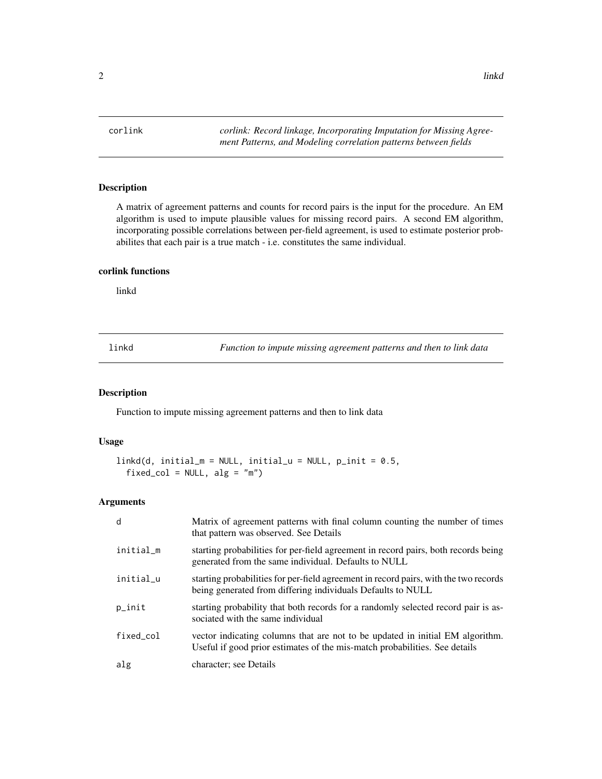<span id="page-1-0"></span>corlink *corlink: Record linkage, Incorporating Imputation for Missing Agreement Patterns, and Modeling correlation patterns between fields*

#### Description

A matrix of agreement patterns and counts for record pairs is the input for the procedure. An EM algorithm is used to impute plausible values for missing record pairs. A second EM algorithm, incorporating possible correlations between per-field agreement, is used to estimate posterior probabilites that each pair is a true match - i.e. constitutes the same individual.

#### corlink functions

linkd

linkd *Function to impute missing agreement patterns and then to link data*

#### Description

Function to impute missing agreement patterns and then to link data

#### Usage

```
linkd(d, initial_m = NULL, initial_u = NULL, p_init = 0.5,fixed\_col = NULL, alg = "m")
```
#### Arguments

| d         | Matrix of agreement patterns with final column counting the number of times<br>that pattern was observed. See Details                                       |
|-----------|-------------------------------------------------------------------------------------------------------------------------------------------------------------|
| initial_m | starting probabilities for per-field agreement in record pairs, both records being<br>generated from the same individual. Defaults to NULL                  |
| initial u | starting probabilities for per-field agreement in record pairs, with the two records<br>being generated from differing individuals Defaults to NULL         |
| p_init    | starting probability that both records for a randomly selected record pair is as-<br>sociated with the same individual                                      |
| fixed col | vector indicating columns that are not to be updated in initial EM algorithm.<br>Useful if good prior estimates of the mis-match probabilities. See details |
| alg       | character; see Details                                                                                                                                      |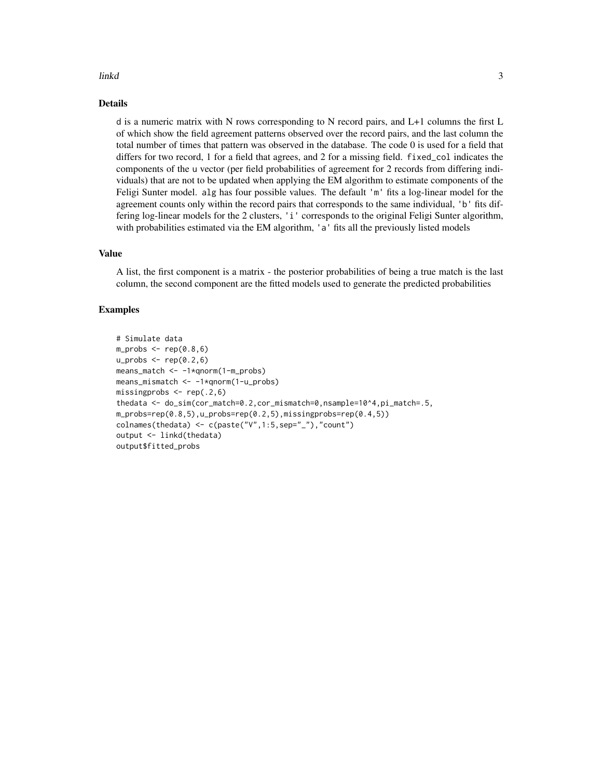#### linkd 3

#### Details

d is a numeric matrix with N rows corresponding to N record pairs, and L+1 columns the first L of which show the field agreement patterns observed over the record pairs, and the last column the total number of times that pattern was observed in the database. The code 0 is used for a field that differs for two record, 1 for a field that agrees, and 2 for a missing field. fixed\_col indicates the components of the u vector (per field probabilities of agreement for 2 records from differing individuals) that are not to be updated when applying the EM algorithm to estimate components of the Feligi Sunter model. alg has four possible values. The default 'm' fits a log-linear model for the agreement counts only within the record pairs that corresponds to the same individual, 'b' fits differing log-linear models for the 2 clusters, 'i' corresponds to the original Feligi Sunter algorithm, with probabilities estimated via the EM algorithm, 'a' fits all the previously listed models

#### Value

A list, the first component is a matrix - the posterior probabilities of being a true match is the last column, the second component are the fitted models used to generate the predicted probabilities

#### Examples

```
# Simulate data
m\_probs \leq rep(0.8,6)u_{\text{probs}} < -\text{rep}(0.2, 6)means_match <- -1*qnorm(1-m_probs)
means_mismatch <- -1*qnorm(1-u_probs)
missingprobs \leq rep(.2,6)
thedata <- do_sim(cor_match=0.2,cor_mismatch=0,nsample=10^4,pi_match=.5,
m_probs=rep(0.8,5),u_probs=rep(0.2,5),missingprobs=rep(0.4,5))
colnames(thedata) <- c(paste("V",1:5,sep="_"),"count")
output <- linkd(thedata)
output$fitted_probs
```